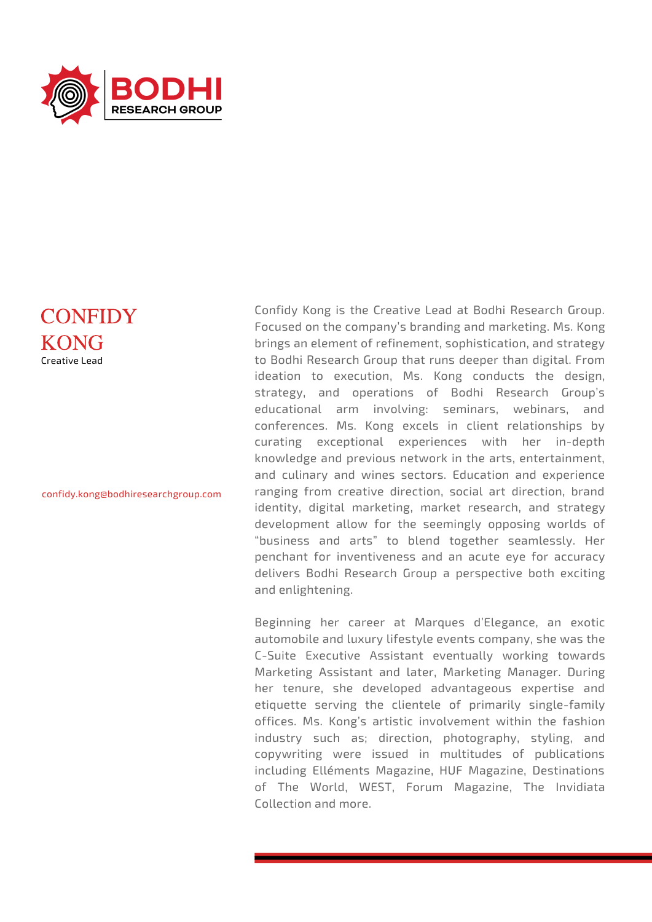

## **CONFIDY** KONG Creative Lead

confidy.kong@bodhiresearchgroup.com

Confidy Kong is the Creative Lead at Bodhi Research Group. Focused on the company's branding and marketing. Ms. Kong brings an element of refinement, sophistication, and strategy to Bodhi Research Group that runs deeper than digital. From ideation to execution, Ms. Kong conducts the design, strategy, and operations of Bodhi Research Group's educational arm involving: seminars, webinars, and conferences. Ms. Kong excels in client relationships by curating exceptional experiences with her in-depth knowledge and previous network in the arts, entertainment, and culinary and wines sectors. Education and experience ranging from creative direction, social art direction, brand identity, digital marketing, market research, and strategy development allow for the seemingly opposing worlds of "business and arts" to blend together seamlessly. Her penchant for inventiveness and an acute eye for accuracy delivers Bodhi Research Group a perspective both exciting and enlightening.

Beginning her career at Marques d'Elegance, an exotic automobile and luxury lifestyle events company, she was the C-Suite Executive Assistant eventually working towards Marketing Assistant and later, Marketing Manager. During her tenure, she developed advantageous expertise and etiquette serving the clientele of primarily single-family offices. Ms. Kong's artistic involvement within the fashion industry such as; direction, photography, styling, and copywriting were issued in multitudes of publications including Elléments Magazine, HUF Magazine, Destinations of The World, WEST, Forum Magazine, The Invidiata Collection and more.